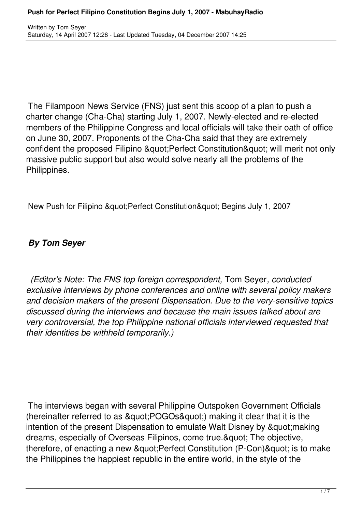The Filampoon News Service (FNS) just sent this scoop of a plan to push a charter change (Cha-Cha) starting July 1, 2007. Newly-elected and re-elected members of the Philippine Congress and local officials will take their oath of office on June 30, 2007. Proponents of the Cha-Cha said that they are extremely confident the proposed Filipino " Perfect Constitution " will merit not only massive public support but also would solve nearly all the problems of the Philippines.

New Push for Filipino & au t: Perfect Constitution & au ot: Begins July 1, 2007

## *By Tom Seyer*

*(Editor's Note: The FNS top foreign correspondent,* Tom Seyer*, conducted exclusive interviews by phone conferences and online with several policy makers and decision makers of the present Dispensation. Due to the very-sensitive topics discussed during the interviews and because the main issues talked about are very controversial, the top Philippine national officials interviewed requested that their identities be withheld temporarily.)*

The interviews began with several Philippine Outspoken Government Officials (hereinafter referred to as "POGOs") making it clear that it is the intention of the present Dispensation to emulate Walt Disney by " making dreams, especially of Overseas Filipinos, come true. & quot; The objective, therefore, of enacting a new & quot; Perfect Constitution (P-Con) & quot; is to make the Philippines the happiest republic in the entire world, in the style of the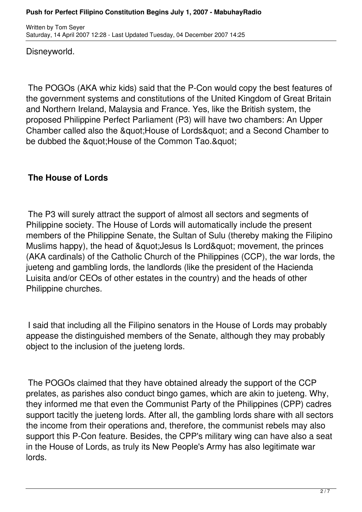Disneyworld.

The POGOs (AKA whiz kids) said that the P-Con would copy the best features of the government systems and constitutions of the United Kingdom of Great Britain and Northern Ireland, Malaysia and France. Yes, like the British system, the proposed Philippine Perfect Parliament (P3) will have two chambers: An Upper Chamber called also the &quot: House of Lords&quot: and a Second Chamber to be dubbed the " House of the Common Tao. "

# **The House of Lords**

The P3 will surely attract the support of almost all sectors and segments of Philippine society. The House of Lords will automatically include the present members of the Philippine Senate, the Sultan of Sulu (thereby making the Filipino Muslims happy), the head of " Jesus Is Lord" movement, the princes (AKA cardinals) of the Catholic Church of the Philippines (CCP), the war lords, the jueteng and gambling lords, the landlords (like the president of the Hacienda Luisita and/or CEOs of other estates in the country) and the heads of other Philippine churches.

I said that including all the Filipino senators in the House of Lords may probably appease the distinguished members of the Senate, although they may probably object to the inclusion of the jueteng lords.

The POGOs claimed that they have obtained already the support of the CCP prelates, as parishes also conduct bingo games, which are akin to jueteng. Why, they informed me that even the Communist Party of the Philippines (CPP) cadres support tacitly the jueteng lords. After all, the gambling lords share with all sectors the income from their operations and, therefore, the communist rebels may also support this P-Con feature. Besides, the CPP's military wing can have also a seat in the House of Lords, as truly its New People's Army has also legitimate war lords.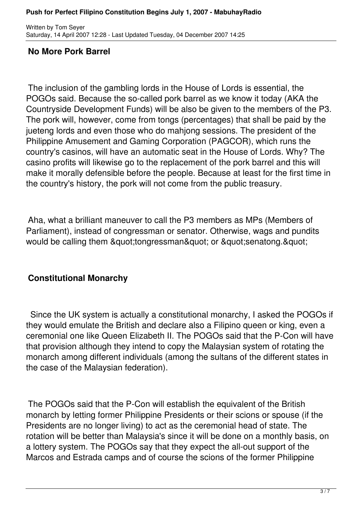Written by Tom Seyer Saturday, 14 April 2007 12:28 - Last Updated Tuesday, 04 December 2007 14:25

## **No More Pork Barrel**

The inclusion of the gambling lords in the House of Lords is essential, the POGOs said. Because the so-called pork barrel as we know it today (AKA the Countryside Development Funds) will be also be given to the members of the P3. The pork will, however, come from tongs (percentages) that shall be paid by the jueteng lords and even those who do mahjong sessions. The president of the Philippine Amusement and Gaming Corporation (PAGCOR), which runs the country's casinos, will have an automatic seat in the House of Lords. Why? The casino profits will likewise go to the replacement of the pork barrel and this will make it morally defensible before the people. Because at least for the first time in the country's history, the pork will not come from the public treasury.

Aha, what a brilliant maneuver to call the P3 members as MPs (Members of Parliament), instead of congressman or senator. Otherwise, wags and pundits would be calling them "tongressman" or "senatong. "

## **Constitutional Monarchy**

 Since the UK system is actually a constitutional monarchy, I asked the POGOs if they would emulate the British and declare also a Filipino queen or king, even a ceremonial one like Queen Elizabeth II. The POGOs said that the P-Con will have that provision although they intend to copy the Malaysian system of rotating the monarch among different individuals (among the sultans of the different states in the case of the Malaysian federation).

The POGOs said that the P-Con will establish the equivalent of the British monarch by letting former Philippine Presidents or their scions or spouse (if the Presidents are no longer living) to act as the ceremonial head of state. The rotation will be better than Malaysia's since it will be done on a monthly basis, on a lottery system. The POGOs say that they expect the all-out support of the Marcos and Estrada camps and of course the scions of the former Philippine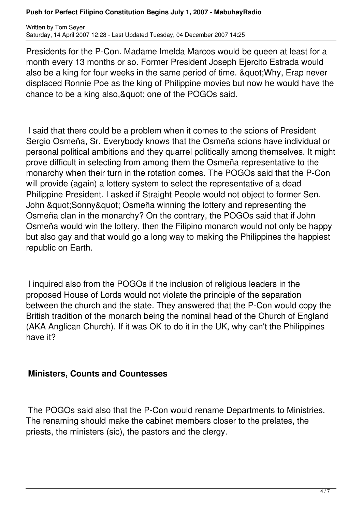#### **Push for Perfect Filipino Constitution Begins July 1, 2007 - MabuhayRadio**

Written by Tom Seyer Saturday, 14 April 2007 12:28 - Last Updated Tuesday, 04 December 2007 14:25

Presidents for the P-Con. Madame Imelda Marcos would be queen at least for a month every 13 months or so. Former President Joseph Ejercito Estrada would also be a king for four weeks in the same period of time. & quot; Why, Erap never displaced Ronnie Poe as the king of Philippine movies but now he would have the chance to be a king also, & quot; one of the POGOs said.

I said that there could be a problem when it comes to the scions of President Sergio Osmeña, Sr. Everybody knows that the Osmeña scions have individual or personal political ambitions and they quarrel politically among themselves. It might prove difficult in selecting from among them the Osmeña representative to the monarchy when their turn in the rotation comes. The POGOs said that the P-Con will provide (again) a lottery system to select the representative of a dead Philippine President. I asked if Straight People would not object to former Sen. John & quot; Sonny & quot; Osmeña winning the lottery and representing the Osmeña clan in the monarchy? On the contrary, the POGOs said that if John Osmeña would win the lottery, then the Filipino monarch would not only be happy but also gay and that would go a long way to making the Philippines the happiest republic on Earth.

I inquired also from the POGOs if the inclusion of religious leaders in the proposed House of Lords would not violate the principle of the separation between the church and the state. They answered that the P-Con would copy the British tradition of the monarch being the nominal head of the Church of England (AKA Anglican Church). If it was OK to do it in the UK, why can't the Philippines have it?

#### **Ministers, Counts and Countesses**

The POGOs said also that the P-Con would rename Departments to Ministries. The renaming should make the cabinet members closer to the prelates, the priests, the ministers (sic), the pastors and the clergy.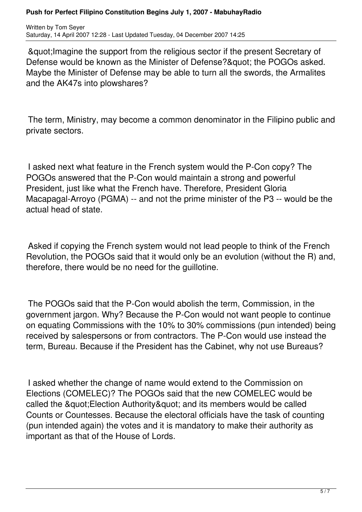Written by Tom Seyer Saturday, 14 April 2007 12:28 - Last Updated Tuesday, 04 December 2007 14:25

"Imagine the support from the religious sector if the present Secretary of Defense would be known as the Minister of Defense? & quot; the POGOs asked. Maybe the Minister of Defense may be able to turn all the swords, the Armalites and the AK47s into plowshares?

The term, Ministry, may become a common denominator in the Filipino public and private sectors.

I asked next what feature in the French system would the P-Con copy? The POGOs answered that the P-Con would maintain a strong and powerful President, just like what the French have. Therefore, President Gloria Macapagal-Arroyo (PGMA) -- and not the prime minister of the P3 -- would be the actual head of state.

Asked if copying the French system would not lead people to think of the French Revolution, the POGOs said that it would only be an evolution (without the R) and, therefore, there would be no need for the guillotine.

The POGOs said that the P-Con would abolish the term, Commission, in the government jargon. Why? Because the P-Con would not want people to continue on equating Commissions with the 10% to 30% commissions (pun intended) being received by salespersons or from contractors. The P-Con would use instead the term, Bureau. Because if the President has the Cabinet, why not use Bureaus?

I asked whether the change of name would extend to the Commission on Elections (COMELEC)? The POGOs said that the new COMELEC would be called the &quot: Election Authority & auot: and its members would be called Counts or Countesses. Because the electoral officials have the task of counting (pun intended again) the votes and it is mandatory to make their authority as important as that of the House of Lords.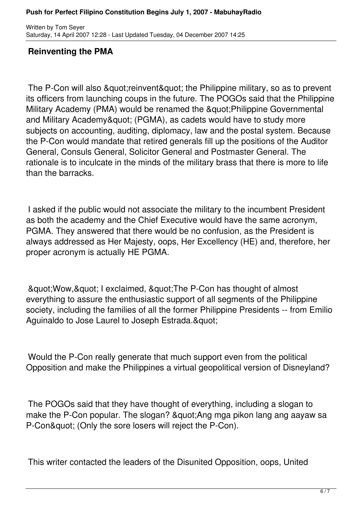Written by Tom Seyer Saturday, 14 April 2007 12:28 - Last Updated Tuesday, 04 December 2007 14:25

### **Reinventing the PMA**

The P-Con will also & quot; reinvent & quot; the Philippine military, so as to prevent its officers from launching coups in the future. The POGOs said that the Philippine Military Academy (PMA) would be renamed the &quot: Philippine Governmental and Military Academy" (PGMA), as cadets would have to study more subjects on accounting, auditing, diplomacy, law and the postal system. Because the P-Con would mandate that retired generals fill up the positions of the Auditor General, Consuls General, Solicitor General and Postmaster General. The rationale is to inculcate in the minds of the military brass that there is more to life than the barracks.

I asked if the public would not associate the military to the incumbent President as both the academy and the Chief Executive would have the same acronym, PGMA. They answered that there would be no confusion, as the President is always addressed as Her Majesty, oops, Her Excellency (HE) and, therefore, her proper acronym is actually HE PGMA.

& au ot: Wow, & quot; I exclaimed, & quot: The P-Con has thought of almost everything to assure the enthusiastic support of all segments of the Philippine society, including the families of all the former Philippine Presidents -- from Emilio Aguinaldo to Jose Laurel to Joseph Estrada. & quot;

Would the P-Con really generate that much support even from the political Opposition and make the Philippines a virtual geopolitical version of Disneyland?

The POGOs said that they have thought of everything, including a slogan to make the P-Con popular. The slogan? & quot: Ang mga pikon lang ang aayaw sa P-Con" (Only the sore losers will reject the P-Con).

This writer contacted the leaders of the Disunited Opposition, oops, United